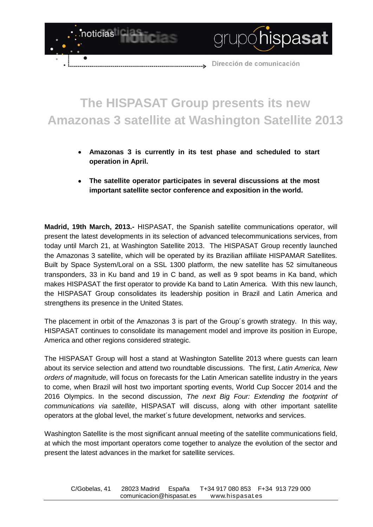

## **The HISPASAT Group presents its new Amazonas 3 satellite at Washington Satellite 2013**

- **Amazonas 3 is currently in its test phase and scheduled to start**   $\bullet$ **operation in April.**
- **The satellite operator participates in several discussions at the most important satellite sector conference and exposition in the world.**

**Madrid, 19th March, 2013.-** HISPASAT, the Spanish satellite communications operator, will present the latest developments in its selection of advanced telecommunications services, from today until March 21, at Washington Satellite 2013. The HISPASAT Group recently launched the Amazonas 3 satellite, which will be operated by its Brazilian affiliate HISPAMAR Satellites. Built by Space System/Loral on a SSL 1300 platform, the new satellite has 52 simultaneous transponders, 33 in Ku band and 19 in C band, as well as 9 spot beams in Ka band, which makes HISPASAT the first operator to provide Ka band to Latin America. With this new launch, the HISPASAT Group consolidates its leadership position in Brazil and Latin America and strengthens its presence in the United States.

The placement in orbit of the Amazonas 3 is part of the Group´s growth strategy. In this way, HISPASAT continues to consolidate its management model and improve its position in Europe, America and other regions considered strategic.

The HISPASAT Group will host a stand at Washington Satellite 2013 where guests can learn about its service selection and attend two roundtable discussions. The first, *Latin America, New orders of magnitude*, will focus on forecasts for the Latin American satellite industry in the years to come, when Brazil will host two important sporting events, World Cup Soccer 2014 and the 2016 Olympics. In the second discussion, *The next Big Four: Extending the footprint of communications via satellite*, HISPASAT will discuss, along with other important satellite operators at the global level, the market´s future development, networks and services.

Washington Satellite is the most significant annual meeting of the satellite communications field, at which the most important operators come together to analyze the evolution of the sector and present the latest advances in the market for satellite services.